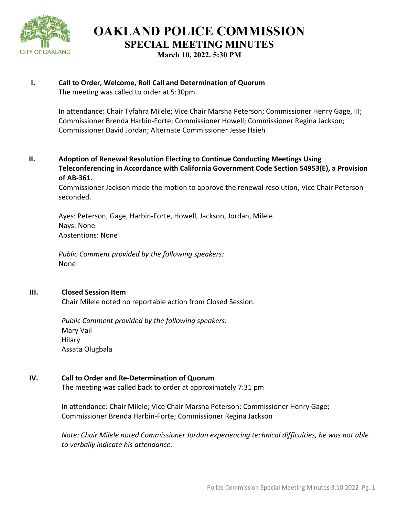

**OAKLAND POLICE COMMISSION SPECIAL MEETING MINUTES March 10, 2022. 5:30 PM** 

## **I. Call to Order, Welcome, Roll Call and Determination of Quorum** The meeting was called to order at 5:30pm.

In attendance: Chair Tyfahra Milele; Vice Chair Marsha Peterson; Commissioner Henry Gage, III; Commissioner Brenda Harbin-Forte; Commissioner Howell; Commissioner Regina Jackson; Commissioner David Jordan; Alternate Commissioner Jesse Hsieh

**II. Adoption of Renewal Resolution Electing to Continue Conducting Meetings Using Teleconferencing in Accordance with California Government Code Section 54953(E), a Provision of AB-361.** 

Commissioner Jackson made the motion to approve the renewal resolution, Vice Chair Peterson seconded.

Ayes: Peterson, Gage, Harbin-Forte, Howell, Jackson, Jordan, Milele Nays: None Abstentions: None

*Public Comment provided by the following speakers:*  None

#### **III. Closed Session Item**

Chair Milele noted no reportable action from Closed Session.

*Public Comment provided by the following speakers:*  Mary Vail Hilary Assata Olugbala

# **IV. Call to Order and Re-Determination of Quorum**

The meeting was called back to order at approximately 7:31 pm

In attendance: Chair Milele; Vice Chair Marsha Peterson; Commissioner Henry Gage; Commissioner Brenda Harbin-Forte; Commissioner Regina Jackson

*Note: Chair Milele noted Commissioner Jordan experiencing technical difficulties, he was not able to verbally indicate his attendance.*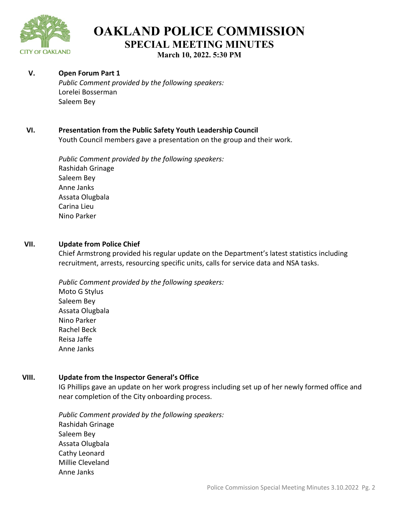

# **OAKLAND POLICE COMMISSION SPECIAL MEETING MINUTES March 10, 2022. 5:30 PM**

## **V. Open Forum Part 1**

*Public Comment provided by the following speakers:*  Lorelei Bosserman Saleem Bey

## **VI. Presentation from the Public Safety Youth Leadership Council**

Youth Council members gave a presentation on the group and their work.

*Public Comment provided by the following speakers:*  Rashidah Grinage Saleem Bey Anne Janks Assata Olugbala Carina Lieu Nino Parker

#### **VII. Update from Police Chief**

Chief Armstrong provided his regular update on the Department's latest statistics including recruitment, arrests, resourcing specific units, calls for service data and NSA tasks.

*Public Comment provided by the following speakers:*  Moto G Stylus Saleem Bey Assata Olugbala Nino Parker Rachel Beck Reisa Jaffe Anne Janks

#### **VIII. Update from the Inspector General's Office**

IG Phillips gave an update on her work progress including set up of her newly formed office and near completion of the City onboarding process.

*Public Comment provided by the following speakers:*  Rashidah Grinage Saleem Bey Assata Olugbala Cathy Leonard Millie Cleveland Anne Janks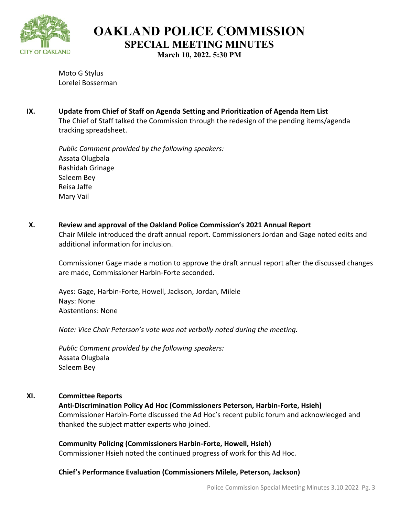

**OAKLAND POLICE COMMISSION SPECIAL MEETING MINUTES**

**March 10, 2022. 5:30 PM**

Moto G Stylus Lorelei Bosserman

**IX. Update from Chief of Staff on Agenda Setting and Prioritization of Agenda Item List** The Chief of Staff talked the Commission through the redesign of the pending items/agenda tracking spreadsheet.

*Public Comment provided by the following speakers:*  Assata Olugbala Rashidah Grinage Saleem Bey Reisa Jaffe Mary Vail

**X. Review and approval of the Oakland Police Commission's 2021 Annual Report**

Chair Milele introduced the draft annual report. Commissioners Jordan and Gage noted edits and additional information for inclusion.

Commissioner Gage made a motion to approve the draft annual report after the discussed changes are made, Commissioner Harbin-Forte seconded.

Ayes: Gage, Harbin-Forte, Howell, Jackson, Jordan, Milele Nays: None Abstentions: None

*Note: Vice Chair Peterson's vote was not verbally noted during the meeting.* 

*Public Comment provided by the following speakers:*  Assata Olugbala Saleem Bey

# **XI. Committee Reports**

**Anti-Discrimination Policy Ad Hoc (Commissioners Peterson, Harbin-Forte, Hsieh)**  Commissioner Harbin-Forte discussed the Ad Hoc's recent public forum and acknowledged and thanked the subject matter experts who joined.

**Community Policing (Commissioners Harbin-Forte, Howell, Hsieh)** Commissioner Hsieh noted the continued progress of work for this Ad Hoc.

# **Chief's Performance Evaluation (Commissioners Milele, Peterson, Jackson)**